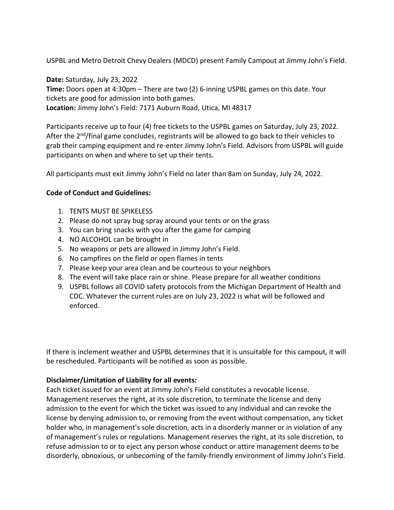USPBL and Metro Detroit Chevy Dealers (MDCD) present Family Campout at Jimmy John's Field.

**Date:** Saturday, July 23, 2022 **Time:** Doors open at 4:30pm – There are two (2) 6-inning USPBL games on this date. Your tickets are good for admission into both games. **Location:** Jimmy John's Field: 7171 Auburn Road, Utica, MI 48317

Participants receive up to four (4) free tickets to the USPBL games on Saturday, July 23, 2022. After the 2<sup>nd</sup>/final game concludes, registrants will be allowed to go back to their vehicles to grab their camping equipment and re-enter Jimmy John's Field. Advisors from USPBL will guide participants on when and where to set up their tents.

All participants must exit Jimmy John's Field no later than 8am on Sunday, July 24, 2022.

## **Code of Conduct and Guidelines:**

- 1. TENTS MUST BE SPIKELESS
- 2. Please do not spray bug spray around your tents or on the grass
- 3. You can bring snacks with you after the game for camping
- 4. NO ALCOHOL can be brought in
- 5. No weapons or pets are allowed in Jimmy John's Field.
- 6. No campfires on the field or open flames in tents
- 7. Please keep your area clean and be courteous to your neighbors
- 8. The event will take place rain or shine. Please prepare for all weather conditions
- 9. USPBL follows all COVID safety protocols from the Michigan Department of Health and CDC. Whatever the current rules are on July 23, 2022 is what will be followed and enforced.

If there is inclement weather and USPBL determines that it is unsuitable for this campout, it will be rescheduled. Participants will be notified as soon as possible.

## **Disclaimer/Limitation of Liability for all events:**

Each ticket issued for an event at Jimmy John's Field constitutes a revocable license. Management reserves the right, at its sole discretion, to terminate the license and deny admission to the event for which the ticket was issued to any individual and can revoke the license by denying admission to, or removing from the event without compensation, any ticket holder who, in management's sole discretion, acts in a disorderly manner or in violation of any of management's rules or regulations. Management reserves the right, at its sole discretion, to refuse admission to or to eject any person whose conduct or attire management deems to be disorderly, obnoxious, or unbecoming of the family-friendly environment of Jimmy John's Field.